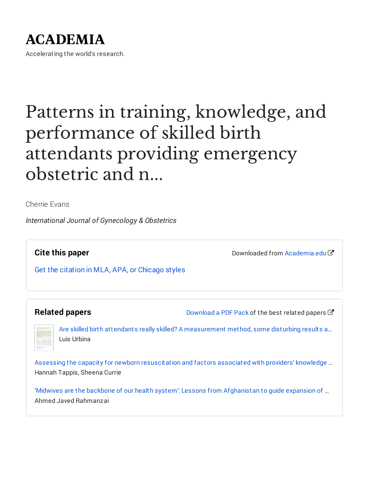# **ACADEMIA**

Accelerating the world's research.

# Patterns in training, knowledge, and performance of skilled birth attendants providing emergency obstetric and n...

Cherrie Evans

*International Journal of Gynecology & Obstetrics*

**Cite this paper**

Downloaded from [Academia.edu](https://www.academia.edu/12619434/Patterns_in_training_knowledge_and_performance_of_skilled_birth_attendants_providing_emergency_obstetric_and_newborn_care_in_Afghanistan?from=cover_page)了

Get the citation in MLA, APA, or [Chicago](https://www.academia.edu/12619434/Patterns_in_training_knowledge_and_performance_of_skilled_birth_attendants_providing_emergency_obstetric_and_newborn_care_in_Afghanistan?auto=citations&from=cover_page) styles

### **Related papers**

[Download](https://www.academia.edu/12619434/Patterns_in_training_knowledge_and_performance_of_skilled_birth_attendants_providing_emergency_obstetric_and_newborn_care_in_Afghanistan?bulkDownload=thisPaper-topRelated-sameAuthor-citingThis-citedByThis-secondOrderCitations&from=cover_page) a PDF Pack of the best related papers  $\mathbb{Z}$ 

Are skilled birth attendants really skilled? A [measurement](https://www.academia.edu/9599808/Are_skilled_birth_attendants_really_skilled_A_measurement_method_some_disturbing_results_and_a_potential_way_forward?from=cover_page) method, some disturbing results a… Luis Urbina

Assessing the capacity for newborn [resuscitation](https://www.academia.edu/16570957/Assessing_the_capacity_for_newborn_resuscitation_and_factors_associated_with_providers_knowledge_and_skills_a_cross_sectional_study_in_Afghanistan?from=cover_page) and factors associated with providers' knowledge … Hannah Tappis, Sheena Currie

'Midwives are the backbone of our health system': Lessons from [Afghanistan](https://www.academia.edu/12107674/_Midwives_are_the_backbone_of_our_health_system_Lessons_from_Afghanistan_to_guide_expansion_of_midwifery_in_challenging_settings?from=cover_page) to guide expansion of … Ahmed Javed Rahmanzai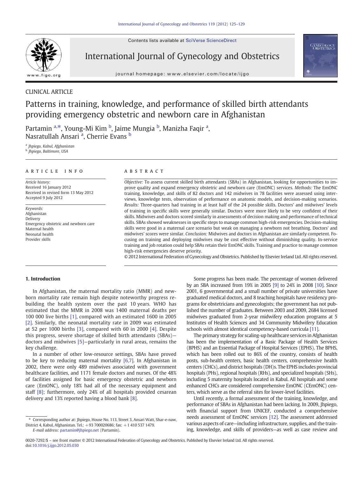Contents lists available at [SciVerse ScienceDirect](http://www.sciencedirect.com/science/journal/00207292)



International Journal of Gynecology and Obstetrics

journal homepage: www.elsevier.com/locate/ijgo



### CLINICAL ARTICLE

## Patterns in training, knowledge, and performance of skilled birth attendants providing emergency obstetric and newborn care in Afghanistan

Partamin <sup>a, $\ast$ </sup>, Young-Mi Kim <sup>b</sup>, Jaime Mungia <sup>b</sup>, Manizha Faqir <sup>a</sup>, Nasratullah Ansari <sup>a</sup>, Cherrie Evans <sup>b</sup>

a *Jhpiego, Kabul, Afghanistan* b *Jhpiego, Baltimore, USA*

#### article info abstract

*Article history:* Received 16 January 2012 Received in revised form 13 May 2012 Accepted 9 July 2012

*Keywords:* Afghanistan Delivery Emergency obstetric and newborn care Maternal health Neonatal health Provider skills

*Objective:* To assess current skilled birth attendants (SBAs) in Afghanistan, looking for opportunities to improve quality and expand emergency obstetric and newborn care (EmONC) services. *Methods:* The EmONC training, knowledge, and skills of 82 doctors and 142 midwives in 78 facilities were assessed using interviews, knowledge tests, observation of performance on anatomic models, and decision-making scenarios. *Results:* Three-quarters had training in at least half of the 24 possible skills. Doctors' and midwives' levels of training in specific skills were generally similar. Doctors were more likely to be very confident of their skills. Midwives and doctors scored similarly in assessments of decision making and performance of technical skills. SBAs showed weaknesses in specific steps to manage common high-risk emergencies. Decision-making skills were good in a maternal care scenario but weak on managing a newborn not breathing. Doctors' and midwives' scores were similar. *Conclusion:* Midwives and doctors in Afghanistan are similarly competent. Focusing on training and deploying midwives may be cost effective without diminishing quality. In-service training and job rotation could help SBAs retain their EmONC skills. Training and practice to manage common high-risk emergencies deserve priority.

© 2012 International Federation of Gynecology and Obstetrics. Published by Elsevier Ireland Ltd. All rights reserved.

#### 1. Introduction

In Afghanistan, the maternal mortality ratio (MMR) and newborn mortality rate remain high despite noteworthy progress rebuilding the health system over the past 10 years. WHO has estimated that the MMR in 2008 was 1400 maternal deaths per 100 000 live births [\[1\]](#page--1-0), compared with an estimated 1600 in 2005 [\[2\]](#page--1-0). Similarly, the neonatal mortality rate in 2009 was estimated at 52 per 1000 births [\[3\],](#page--1-0) compared with 60 in 2000 [\[4\]](#page--1-0). Despite this progress, severe shortage of skilled birth attendants (SBAs) doctors and midwives [\[5\]](#page--1-0)—particularly in rural areas, remains the key challenge.

In a number of other low-resource settings, SBAs have proved to be key to reducing maternal mortality [\[6,7\]](#page--1-0). In Afghanistan in 2002, there were only 489 midwives associated with government healthcare facilities, and 1171 female doctors and nurses. Of the 48% of facilities assigned for basic emergency obstetric and newborn care (EmONC), only 18% had all of the necessary equipment and staff [\[8\]](#page--1-0); furthermore, only 24% of all hospitals provided cesarean delivery and 13% reported having a blood bank [\[8\]](#page--1-0).

*E-mail address:* [partamin@jhpiego.net](mailto:partamin@jhpiego.net) (Partamin).

Some progress has been made. The percentage of women delivered by an SBA increased from 19% in 2005 [\[9\]](#page--1-0) to 24% in 2008 [\[10\]](#page--1-0). Since 2001, 6 governmental and a small number of private universities have graduated medical doctors, and 8 teaching hospitals have residency programs for obstetricians and gynecologists; the government has not published the number of graduates. Between 2003 and 2009, 2684 licensed midwives graduated from 2-year midwifery education programs at 5 Institutes of Health Sciences and 34 Community Midwifery Education schools with almost identical competency-based curricula [\[11\].](#page--1-0)

The primary strategy for scaling-up healthcare services in Afghanistan has been the implementation of a Basic Package of Health Services (BPHS) and an Essential Package of Hospital Services (EPHS). The BPHS, which has been rolled out to 86% of the country, consists of health posts, sub-health centers, basic health centers, comprehensive health centers (CHCs), and district hospitals (DH)s. The EPHS includes provincial hospitals (PHs), regional hospitals (RHs), and specialized hospitals (SHs), including 5 maternity hospitals located in Kabul. All hospitals and some enhanced CHCs are considered comprehensive EmONC (CEmONC) centers, which serve as the referral sites for lower-level facilities.

Until recently, a formal assessment of the training, knowledge, and performance of SBAs in Afghanistan had been lacking. In 2009, Jhpiego, with financial support from UNICEF, conducted a comprehensive needs assessment of EmONC services [\[12\]](#page--1-0). The assessment addressed various aspects of care—including infrastructure, supplies, and the training, knowledge, and skills of providers—as well as case review and

<sup>⁎</sup> Corresponding author at: Jhpiego, House No. 113, Street 3, Ansari Watt, Shar-e-naw, District 4, Kabul, Afghanistan. Tel.: +93 700020686; fax: +1 410 537 1479.

<sup>0020-7292/\$</sup> – see front matter © 2012 International Federation of Gynecology and Obstetrics. Published by Elsevier Ireland Ltd. All rights reserved. doi:[10.1016/j.ijgo.2012.05.030](http://dx.doi.org/10.1016/j.ijgo.2012.05.030)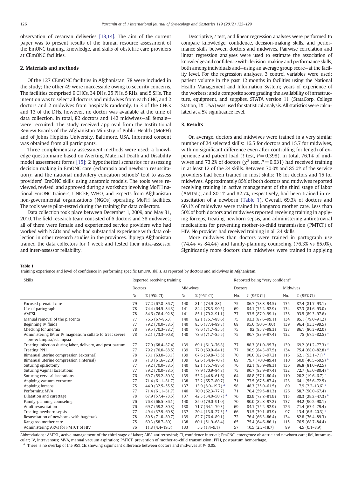<span id="page-2-0"></span>observation of cesarean deliveries [\[13,14\]](#page--1-0). The aim of the current paper was to present results of the human resource assessment of the EmONC training, knowledge, and skills of obstetric care providers at CEmONC facilities.

#### 2. Materials and methods

Of the 127 CEmONC facilities in Afghanistan, 78 were included in the study; the other 49 were inaccessible owing to security concerns. The facilities comprised 9 CHCs, 34 DHs, 25 PHs, 5 RHs, and 5 SHs. The intention was to select all doctors and midwives from each CHC, and 2 doctors and 2 midwives from hospitals randomly. In 3 of the CHCs and 13 of the DHs, however, no doctor was available at the time of data collection. In total, 82 doctors and 142 midwives—all female were recruited. The study received approval from the Institutional Review Boards of the Afghanistan Ministry of Public Health (MoPH) and of Johns Hopkins University, Baltimore, USA. Informed consent was obtained from all participants.

Three complementary assessment methods were used: a knowledge questionnaire based on Averting Maternal Death and Disability model assessment forms [\[15\];](#page--1-0) 2 hypothetical scenarios for assessing decision making in EmONC care (eclampsia and newborn resuscitation); and the national midwifery education schools' tool to assess providers' EmONC skills using anatomic models. The tools were reviewed, revised, and approved during a workshop involving MoPH national EmONC trainers, UNICEF, WHO, and experts from Afghanistan non-governmental organizations (NGOs) operating MoPH facilities. The tools were pilot-tested during the training for data collectors.

Data collection took place between December 1, 2009, and May 31, 2010. The field research team consisted of 6 doctors and 38 midwives; all of them were female and experienced service providers who had worked with NGOs and who had substantial experience with data collection in other research studies in the provinces. Jhpiego Afghanistan trained the data collectors for 1 week and tested their intra-assessor and inter-assessor reliability.

Descriptive, *t* test, and linear regression analyses were performed to compare knowledge, confidence, decision-making skills, and performance skills between doctors and midwives. Pairwise correlation and linear regression analyses were used to estimate the association of knowledge and confidence with decision-making and performance skills, both among individuals and—using an average group score—at the facility level. For the regression analyses, 3 control variables were used: patient volume in the past 12 months in facilities using the National Health Management and Information System; years of experience of the workers; and a composite score grading the availability of infrastructure, equipment, and supplies. STATA version 11 (StataCorp, College Station, TX, USA) was used for statistical analysis. All statistics were calculated at a 5% significance level.

#### 3. Results

On average, doctors and midwives were trained in a very similar number of 24 selected skills: 16.5 for doctors and 15.7 for midwives, with no significant difference even after controlling for length of experience and patient load ( $t$  test,  $P = 0.398$ ). In total, 76.1% of midwives and 73.2% of doctors ( $\chi^2$  test, *P* = 0.631) had received training in at least 12 of the 24 skills. Between 70.0% and 85.0% of the service providers had been trained in most skills: 16 for doctors and 15 for midwives. Approximately 85% of both doctors and midwives reported receiving training in active management of the third stage of labor (AMTSL), and 80.1% and 82.7%, respectively, had been trained in resuscitation of a newborn (Table 1). Overall, 69.3% of doctors and 60.1% of midwives were trained in kangaroo mother care. Less than 50% of both doctors and midwives reported receiving training in applying forceps, treating newborn sepsis, and administering antiretroviral medications for preventing mother-to-child transmission (PMTCT) of HIV. No provider had received training in all 24 skills.

More midwives than doctors were trained in partograph use (74.4% vs 84.4%) and family-planning counseling (76.3% vs 85.0%). Significantly more doctors than midwives were trained in applying

Table 1

```
Training experience and level of confidence in performing specific EmONC skills, as reported by doctors and midwives in Afghanistan.
```

| Skills                                                                              | Reported receiving training |                     |          |                                 | Reported being "very confident" |                     |          |                                   |
|-------------------------------------------------------------------------------------|-----------------------------|---------------------|----------|---------------------------------|---------------------------------|---------------------|----------|-----------------------------------|
|                                                                                     | Doctors                     |                     | Midwives |                                 | <b>Doctors</b>                  |                     | Midwives |                                   |
|                                                                                     | No.                         | % (95% CI)          | No.      | % (95% CI)                      | No.                             | % (95% CI)          | No.      | % (95% CI)                        |
| Focused prenatal care                                                               | 79                          | 77.2 (67.8-86.7)    | 140      | 81.4 (74.9-88)                  | 75                              | 86.7 (78.8-94.5)    | 135      | 87.4 (81.7-93.1)                  |
| Use of partograph                                                                   | 78                          | 74.4 (64.5-84.3)    | 141      | 84.4 (78.3-90.5)                | 69                              | 84.1 (75.2-92.9)    | 134      | 87.3 (81.6-93.0)                  |
| <b>AMTSL</b>                                                                        | 78                          | 84.6 (76.4-92.8)    | 141      | 85.1 (79.2-91.1)                | 77                              | 93.5 (87.9-99.1)    | 138      | 93.5 (89.3-97.6)                  |
| Manual removal of the placenta                                                      | 77                          | 76.6 (67-86.3)      | 140      | 82.1 (75.7-88.6)                | 75                              | 93.3 (87.6-99.1)    | 134      | 85.1 (79.0-91.2)                  |
| Beginning IV fluids                                                                 | 77                          | 79.2 (70.0-88.5)    | 140      | 83.6 (77.4-89.8)                | 68                              | 95.6 (90.6-100)     | 139      | 96.4 (93.3-99.5)                  |
| Checking for anemia                                                                 | 78                          | 79.5 (70.3-88.7)    | 140      | 78.6 (71.7-85.5)                | 75                              | 92 (85.7-98.3)      | 137      | 86.1 (80.3-92.0)                  |
| Administering IM or IV magnesium sulfate to treat severe<br>pre-eclampsia/eclampsia | 78                          | 82.1 (73.3-90.8)    | 140      | 78.6 (71.7-85.5)                | 75                              | 90.7 (83.9-97.4)    | 132      | 75 (67.5-82.5) <sup>a</sup>       |
| Treating infection during labor, delivery, and post partum                          | 77                          | 77.9 (68.4-87.4)    | 139      | 69.1 (61.3-76.8)                | 77                              | 88.3 (81.0-95.7)    | 130      | 69.2 $(61.2 - 77.3)$ <sup>a</sup> |
| <b>Treating PPH</b>                                                                 | 77                          | 79.2 (70.0-88.5)    | 139      | 77.0 (69.9-84.1)                | 77                              | $90.9(84.3 - 97.5)$ | 134      | 75.4 $(68.0 - 82.8)^{a}$          |
| Bimanual uterine compression (external)                                             | 78                          | 73.1 (63.0-83.1)    | 139      | $67.6(59.8 - 75.5)$             | 70                              | $90.0(82.8 - 97.2)$ | 116      | 62.1 $(53.1 - 71)^{a}$            |
| Bimanual uterine compression (internal)                                             | 78                          | 71.8 (61.6-82.0)    | 139      | $62.6(54.4 - 70.7)$             | 69                              | 79.7 (70.0-89.4)    | 110      | 50.0 $(40.5-59.5)^{a}$            |
| Suturing episiotomy                                                                 | 77                          | 79.2 (70.0-88.5)    | 140      | 82.1 (75.7-88.6)                | 76                              | 92.1 (85.9-98.3)    | 136      | 86.8 (81.0-92.5)                  |
| Suturing vaginal lacerations                                                        | 77                          | 79.2 (70.0-88.5)    | 140      | 77.9 (70.9-84.8)                | 75                              | 90.7 (83.9-97.4)    | 132      | 72.7 (65.0-80.4) $a$              |
| Suturing cervical lacerations                                                       | 76                          | 69.7 (59.2-80.3)    | 139      | 53.2 (44.8-61.6)                | 64                              | 68.8 (57.1-80.4)    | 110      | 28.2 (19.6-6.7) $a$               |
| Applying vacuum extractor                                                           | 77                          | $71.4(61.1 - 81.7)$ | 138      | 73.2 (65.7-80.7)                | 71                              | 77.5 (67.5-87.4)    | 128      | $64.1(55.6 - 72.5)$               |
| Applying forceps                                                                    | 75                          | 44.0 (32.5-55.5)    | 137      | 13.9 $(8.0-19.7)$ <sup>a</sup>  | 58                              | 48.3 (35.0-61.5)    | 89       | 7.9 $(2.2-13.6)^{a}$              |
| Performing MVA                                                                      | 77                          | $71.4(61.1 - 81.7)$ | 140      | 70.0 (62.3-77.7)                | 71                              | 70.4 (59.5-81.3)    | 126      | 58.7 (50.0-67.4)                  |
| Dilatation and curettage                                                            | 78                          | 67.9 (57.4-78.5)    | 137      | 42.3 (34.0-50.7) <sup>a</sup>   | 70                              | 82.9 (73.8-91.9)    | 115      | 38.3 $(29.2 - 47.3)^{a}$          |
| Family-planning counseling                                                          | 76                          | 76.3 (66.5-86.1)    | 140      | 85.0 (79.0-91.0)                | 70                              | $90.0(82.8 - 97.2)$ | 137      | 94.2 (90.2-98.1)                  |
| Adult resuscitation                                                                 | 76                          | $69.7(59.2 - 80.3)$ | 138      | 71.7 (64.1-79.3)                | 69                              | 84.1 (75.2-92.9)    | 126      | 71.4 (63.4-79.4)                  |
| Treating newborn sepsis                                                             | 77                          | 49.4 (37.9-60.8)    | 137      | 20.4 $(13.6-27.3)$ <sup>a</sup> | 66                              | $51.5(39.1 - 63.9)$ | 97       | 13.4 $(6.5-20.3)$ <sup>a</sup>    |
| Resuscitation of newborns with bag/mask                                             | 78                          | 80.8 (71.8-89.7)    | 139      | 82.7 (76.4-89.1)                | 72                              | 76.4 (66.3-86.4)    | 134      | 82.8 (76.4-89.3)                  |
| Kangaroo mother care                                                                | 75                          | 69.3 (58.7-80)      | 138      | $60.1(51.9 - 68.4)$             | 65                              | 75.4 (64.6-86.1)    | 115      | 76.5 (68.7-84.4)                  |
| Administering ARVs for PMTCT of HIV                                                 | 76                          | $11.8(4.4 - 19.3)$  | 133      | $5.3(1.4-9.1)$                  | 57                              | $10.5(2.3 - 18.7)$  | 89       | $4.5(0.1-8.9)$                    |

Abbreviations: AMTSL, active management of the third stage of labor; ARV, antiretroviral; CI, confidence interval; EmONC, emergency obstetric and newborn care; IM, intramuscular; IV, Intravenous; MVA, manual vacuum aspiration; PMTCT, prevention of mother-to-child transmission; PPH, postpartum hemorrhage.

<sup>a</sup> There is no overlap of the 95% CIs showing significant difference between doctors and midwives at  $P<0.05$ .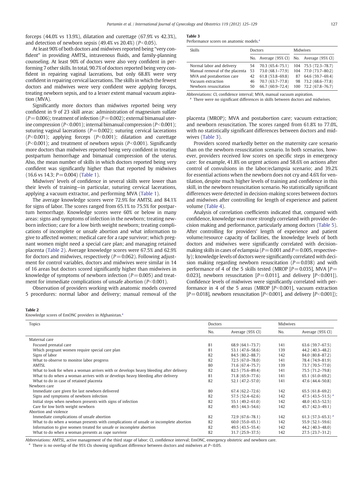forceps (44.0% vs 13.9%), dilatation and curettage (67.9% vs 42.3%), and detection of newborn sepsis  $(49.4\% \text{ vs } 20.4\%)$   $(P<0.05)$ .

At least 90% of both doctors and midwives reported being "very confident" in providing AMTSL, intravenous fluids, and family-planning counseling. At least 90% of doctors were also very confident in performing 7 other skills. In total, 90.7% of doctors reported being very confident in repairing vaginal lacerations, but only 68.8% were very confident in repairing cervical lacerations. The skills in which the fewest doctors and midwives were very confident were applying forceps, treating newborn sepsis, and to a lesser extent manual vacuum aspiration (MVA).

Significantly more doctors than midwives reported being very confident in 9 of 23 skill areas: administration of magnesium sulfate  $(P=0.006)$ ; treatment of infection  $(P=0.002)$ ; external bimanual uterine compression (*P*<0.001); internal bimanual compression (*P*<0.001); suturing vaginal lacerations ( $P=0.002$ ); suturing cervical lacerations  $(P<0.001)$ ; applying forceps  $(P<0.001)$ ; dilatation and curettage  $(P< 0.001)$ ; and treatment of newborn sepsis  $(P< 0.001)$ . Significantly more doctors than midwives reported being very confident in treating postpartum hemorrhage and bimanual compression of the uterus. Also, the mean number of skills in which doctors reported being very confident was significantly higher than that reported by midwives  $(16.6 \text{ vs } 14.3; P = 0.004)$  [\(Table 1](#page--1-0)).

Midwives' levels of confidence in several skills were lower than their levels of training—in particular, suturing cervical lacerations, applying a vacuum extractor, and performing MVA [\(Table 1\)](#page--1-0).

The average knowledge scores were 72.9% for AMTSL and 84.1% for signs of labor. The scores ranged from 65.1% to 75.5% for postpartum hemorrhage. Knowledge scores were 60% or below in many areas: signs and symptoms of infection in the newborn; treating newborn infection; care for a low birth weight newborn; treating complications of incomplete or unsafe abortion and what information to give to affected women; medical care for a rape survivor; which pregnant women might need a special care plan; and managing retained placenta (Table 2). Average knowledge scores were 67.5% and 62.9% for doctors and midwives, respectively  $(P=0.062)$ . Following adjustment for control variables, doctors and midwives were similar in 14 of 16 areas but doctors scored significantly higher than midwives in knowledge of symptoms of newborn infection  $(P=0.005)$  and treatment for immediate complications of unsafe abortion  $(P< 0.001)$ .

Observation of providers working with anatomic models covered 5 procedures: normal labor and delivery; manual removal of the

#### Table 3

Performance scores on anatomic models.<sup>4</sup>

| <b>Skills</b>                  | Doctors |                                           | <b>Midwives</b> |                      |  |
|--------------------------------|---------|-------------------------------------------|-----------------|----------------------|--|
|                                |         | No. Average (95% CI) No. Average (95% CI) |                 |                      |  |
| Normal labor and delivery      | 54      | 70.3 (65.4–75.1)                          |                 | 104 75.5 (72.3–78.7) |  |
| Manual removal of the placenta | 53      | 73.0 (68.1-77.9)                          |                 | 104 77.0 (73.7-80.2) |  |
| MVA and postabortion care      | 42      | $61.8(53.8 - 69.8)$                       | 87              | 64.6 (59.7-69.4)     |  |
| Vacuum extraction              | 46      | 70.7 (63.7-77.8)                          |                 | 98 73.2 (68.6-77.8)  |  |
| Newborn resuscitation          | 50      | 66.7 (60.9-72.4)                          | 100             | 72.2 (67.8-76.7)     |  |

Abbreviations: CI, confidence interval; MVA, manual vacuum aspiration.

<sup>a</sup> There were no significant differences in skills between doctors and midwives.

placenta (MROP); MVA and postabortion care; vacuum extraction; and newborn resuscitation. The scores ranged from 61.8% to 77.0%, with no statistically significant differences between doctors and midwives (Table 3).

Providers scored markedly better on the maternity care scenario than on the newborn resuscitation scenario. In both scenarios, however, providers received low scores on specific steps in emergency care: for example, 41.8% on urgent actions and 58.6% on actions after control of convulsions in the labor/eclampsia scenario; and 39.2% for essential actions when the newborn does not cry and 4.6% for ventilation, despite much higher levels of training and confidence in this skill, in the newborn resuscitation scenario. No statistically significant differences were detected in decision-making scores between doctors and midwives after controlling for length of experience and patient volume [\(Table 4\)](#page--1-0).

Analysis of correlation coefficients indicated that, compared with confidence, knowledge was more strongly correlated with provider decision making and performance, particularly among doctors [\(Table 5](#page--1-0)). After controlling for providers' length of experience and patient volume/resource capacity of facilities, the knowledge levels of both doctors and midwives were significantly correlated with decisionmaking skills in cases of eclampsia ( $P=0.001$  and  $P=0.005$ , respectively); knowledge levels of doctors were significantly correlated with decision making regarding newborn resuscitation  $(P=0.038)$  and with performance of 4 of the 5 skills tested (MROP  $[P = 0.035]$ , MVA  $[P =$ 0.023], newborn resuscitation  $[P=0.011]$ , and delivery  $[P<0.001]$ ). Confidence levels of midwives were significantly correlated with performance in 4 of the 5 areas (MROP  $[P<0.001]$ , vacuum extraction  $[P=0.018]$ , newborn resuscitation  $[P<0.001]$ , and delivery  $[P<0.001]$ );

#### Table 2

Knowledge scores of EmONC providers in Afghanistan.<sup>a</sup>

| Topics                                                                               | Doctors |                     | Midwives |                               |  |
|--------------------------------------------------------------------------------------|---------|---------------------|----------|-------------------------------|--|
|                                                                                      | No.     | Average (95% CI)    | No.      | Average (95% CI)              |  |
| Maternal care                                                                        |         |                     |          |                               |  |
| Focused prenatal care                                                                | 81      | 68.9 (64.1–73.7)    | 141      | $63.6(59.7-67.5)$             |  |
| Which pregnant women require special care plan                                       | 81      | 53.1 (47.6-58.6)    | 139      | 44.2 (40.3-48.2)              |  |
| Signs of labor                                                                       | 82      | 84.5 (80.2-88.7)    | 142      | 84.0 (80.8-87.2)              |  |
| What to observe to monitor labor progress                                            | 82      | $72.5(67.0 - 78.0)$ | 141      | 78.4 (74.9-81.9)              |  |
| AMTSL                                                                                | 80      | 71.6 (67.4–75.7)    | 139      | 73.7 (70.5-77.0)              |  |
| What to look for when a woman arrives with or develops heavy bleeding after delivery | 82      | 82.5 (75.6-89.4)    | 141      | 75.5 (71.2-79.8)              |  |
| What to do when a woman arrives with or develops heavy bleeding after delivery       | 81      | 71.8 (65.9-77.6)    | 141      | 65.1 (61.0-69.2)              |  |
| What to do in case of retained placenta                                              | 82      | $52.1(47.2 - 57.0)$ | 141      | 47.6 (44.4-50.8)              |  |
| Newborn care                                                                         |         |                     |          |                               |  |
| Immediate care given for last newborn delivered                                      | 80      | $67.4(62.2 - 72.6)$ | 142      | $65.5(61.8-69.2)$             |  |
| Signs and symptoms of newborn infection                                              | 82      | $57.5(52.4 - 62.6)$ | 142      | 47.5 $(43.5-51.5)^{a}$        |  |
| Initial steps when newborn presents with signs of infection                          | 82      | 55.1 (49.2-61.0)    | 142      | $48.0(43.5-52.5)$             |  |
| Care for low birth weight newborn                                                    | 82      | $49.5(44.3 - 54.6)$ | 142      | 45.7 (42.3-49.1)              |  |
| Abortion and violence                                                                |         |                     |          |                               |  |
| Immediate complications of unsafe abortion                                           | 82      | 72.9 (67.6–78.1)    | 142      | 61.3 (57.3–65.3) <sup>a</sup> |  |
| What to do when a woman presents with complications of unsafe or incomplete abortion | 82      | $60.0(55.0-65.1)$   | 142      | $55.9(52.1 - 59.6)$           |  |
| Information to give women treated for unsafe or incomplete abortion                  | 82      | 49.5 (43.5-55.4)    | 142      | 44.2 (40.3-48.0)              |  |
| What to do when a woman presents as rape survivor                                    | 82      | 31.7 (25.9-37.5)    | 142      | $27.5(23.7-31.2)$             |  |

Abbreviations: AMTSL, active management of the third stage of labor; CI, confidence interval; EmONC, emergency obstetric and newborn care. a There is no overlap of the 95% CIs showing significant difference between doctors and midwives at  $P<0.05$ .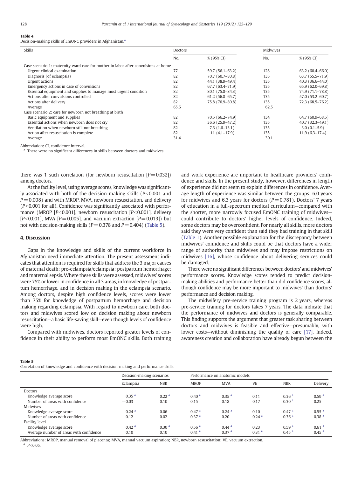#### Table 4

Decision-making skills of EmONC providers in Afghanistan.<sup>a</sup>

| <b>Skills</b>                                                                      | <b>Doctors</b> |                     | Midwives |                     |
|------------------------------------------------------------------------------------|----------------|---------------------|----------|---------------------|
|                                                                                    | No.            | % (95% CI)          | No.      | % (95% CI)          |
| Case scenario 1: maternity ward care for mother in labor after convulsions at home |                |                     |          |                     |
| Urgent clinical examination                                                        | 77             | $59.7(56.1 - 63.2)$ | 128      | $63.2(60.4 - 66.0)$ |
| Diagnosis (of eclampsia)                                                           | 82             | 70.7 (60.7-80.8)    | 135      | $63.7(55.5 - 71.9)$ |
| Urgent actions                                                                     | 82             | 44.1 (38.9-49.4)    | 135      | $40.3(36.6 - 44.0)$ |
| Emergency actions in case of convulsions                                           | 82             | 67.7 (63.4-71.9)    | 135      | $65.9(62.0 - 69.8)$ |
| Essential equipment and supplies to manage most urgent condition                   | 82             | 80.1 (75.8-84.3)    | 135      | 74.9 (71.1-78.8)    |
| Actions after convulsions controlled                                               | 82             | $61.2(56.8-65.7)$   | 135      | 57.0 (53.2-60.7)    |
| Actions after delivery                                                             | 82             | 75.8 (70.9-80.8)    | 135      | $72.3(68.5 - 76.2)$ |
| Average                                                                            | 65.6           |                     | 62.5     |                     |
| Case scenario 2: care for newborn not breathing at birth                           |                |                     |          |                     |
| Basic equipment and supplies                                                       | 82             | 70.5 (66.2–74.9)    | 134      | $64.7(60.9-68.5)$   |
| Essential actions when newborn does not cry                                        | 82             | 36.6 (25.9-47.2)    | 135      | $40.7(32.3-49.1)$   |
| Ventilation when newborn still not breathing                                       | 82             | $7.3(1.6-13.1)$     | 135      | $3.0(0.1 - 5.9)$    |
| Action after resuscitation is complete                                             | 82             | $11(4.1-17.9)$      | 135      | $11.9(6.3-17.4)$    |
| Average                                                                            | 31.4           |                     | 30.1     |                     |

Abbreviation: CI, confidence interval.

<sup>a</sup> There were no significant differences in skills between doctors and midwives.

there was 1 such correlation (for newborn resuscitation  $[P=0.032]$ ) among doctors.

At the facility level, using average scores, knowledge was significantly associated with both of the decision-making skills (*P*<0.001 and *P* = 0.008) and with MROP, MVA, newborn resuscitation, and delivery  $(P< 0.001$  for all). Confidence was significantly associated with performance (MROP [*P*<0.001], newborn resuscitation [*P*<0.001], delivery  $[P<0.001]$ , MVA  $[P=0.005]$ , and vacuum extraction  $[P=0.013]$ ) but not with decision-making skills ( $P=0.378$  and  $P=0.404$ ) (Table 5).

#### 4. Discussion

Gaps in the knowledge and skills of the current workforce in Afghanistan need immediate attention. The present assessment indicates that attention is required for skills that address the 3 major causes of maternal death: pre-eclampsia/eclampsia; postpartum hemorrhage; and maternal sepsis. Where these skills were assessed, midwives' scores were 75% or lower in confidence in all 3 areas, in knowledge of postpartum hemorrhage, and in decision making in the eclampsia scenario. Among doctors, despite high confidence levels, scores were lower than 75% for knowledge of postpartum hemorrhage and decision making regarding eclampsia. With regard to newborn care, both doctors and midwives scored low on decision making about newborn resuscitation—a basic life-saving skill—even though levels of confidence were high.

Compared with midwives, doctors reported greater levels of confidence in their ability to perform most EmONC skills. Both training and work experience are important to healthcare providers' confidence and skills. In the present study, however, differences in length of experience did not seem to explain differences in confidence. Average length of experience was similar between the groups: 6.0 years for midwives and 6.3 years for doctors  $(P = 0.781)$ . Doctors' 7 years of education in a full-spectrum medical curriculum—compared with the shorter, more narrowly focused EmONC training of midwives could contribute to doctors' higher levels of confidence. Indeed, some doctors may be overconfident. For nearly all skills, more doctors said they were very confident than said they had training in that skill [\(Table 1\)](#page-2-0). Another possible explanation for the discrepancy between midwives' confidence and skills could be that doctors have a wider range of authority than midwives and may impose restrictions on midwives [\[16\]](#page--1-0), whose confidence about delivering services could be damaged.

There were no significant differences between doctors' and midwives' performance scores. Knowledge scores tended to predict decisionmaking abilities and performance better than did confidence scores, although confidence may be more important to midwives' than doctors' performance and decision making.

The midwifery pre-service training program is 2 years, whereas pre-service training for doctors takes 7 years. The data indicate that the performance of midwives and doctors is generally comparable. This finding supports the argument that greater task sharing between doctors and midwives is feasible and effective—presumably, with lower costs—without diminishing the quality of care [\[17\]](#page--1-0). Indeed, awareness creation and collaboration have already begun between the

#### Table 5

Correlation of knowledge and confidence with decision-making and performance skills.

|                                         | Decision-making scenarios |                   | Performance on anatomic models |                     |                   |                     |                   |  |  |
|-----------------------------------------|---------------------------|-------------------|--------------------------------|---------------------|-------------------|---------------------|-------------------|--|--|
|                                         | Eclampsia                 | <b>NBR</b>        | <b>MROP</b>                    | <b>MVA</b>          | <b>VE</b>         | <b>NBR</b>          | Delivery          |  |  |
| Doctors                                 |                           |                   |                                |                     |                   |                     |                   |  |  |
| Knowledge average score                 | 0.35 <sup>a</sup>         | 0.22 <sup>a</sup> | 0.40 <sup>a</sup>              | 0.35 <sup>a</sup>   | 0.11              | 0.36 <sup>a</sup>   | 0.59 <sup>a</sup> |  |  |
| Number of areas with confidence         | $-0.03$                   | 0.10              | 0.15                           | 0.18                | 0.17              | 0.30 <sup>a</sup>   | 0.25              |  |  |
| <b>Midwives</b>                         |                           |                   |                                |                     |                   |                     |                   |  |  |
| Knowledge average score                 | 0.24 <sup>a</sup>         | 0.06              | 0.47 <sup>a</sup>              | 0.24 <sup>a</sup>   | 0.10              | 0.47 <sup>a</sup>   | 0.55 <sup>a</sup> |  |  |
| Number of areas with confidence         | 0.12                      | 0.02              | 0.37 <sup>a</sup>              | 0.20                | 0.24 <sup>a</sup> | 0.36 <sup>a</sup>   | 0.38 <sup>a</sup> |  |  |
| Facility level                          |                           |                   |                                |                     |                   |                     |                   |  |  |
| Knowledge average score                 | 0.42 <sup>a</sup>         | 0.30 <sup>a</sup> | 0.56 <sup>a</sup>              | $0.44$ <sup>a</sup> | 0.23              | 0.59 <sup>a</sup>   | 0.61 <sup>a</sup> |  |  |
| Average number of areas with confidence | 0.10                      | 0.10              | 0.41 <sup>a</sup>              | 0.37 <sup>a</sup>   | 0.31 <sup>a</sup> | $0.45$ <sup>a</sup> | 0.45 <sup>a</sup> |  |  |

Abbreviations: MROP, manual removal of placenta; MVA, manual vacuum aspiration; NBR, newborn resuscitation; VE, vacuum extraction.  $^a$  *P*<0.05.